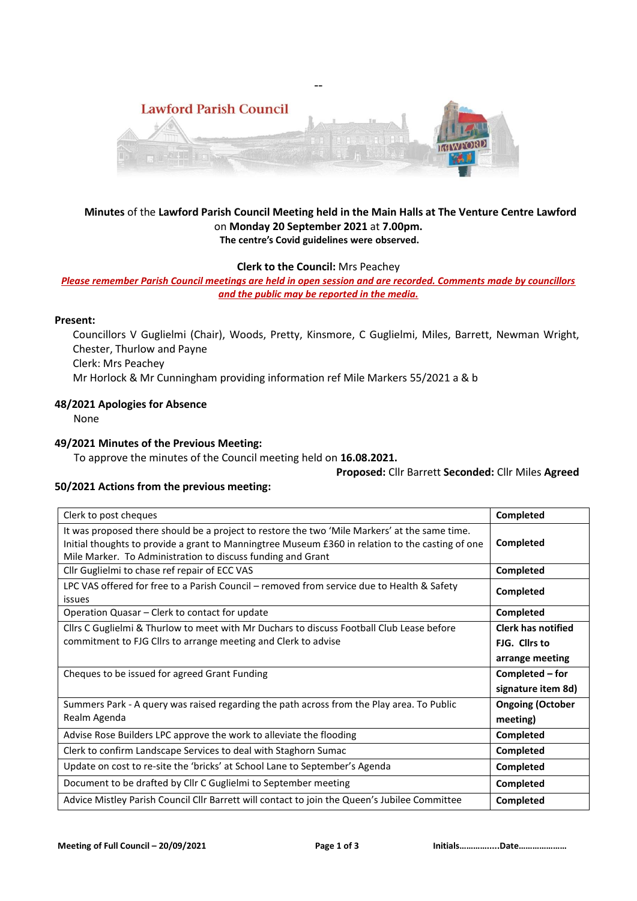

--

## **Minutes** of the **Lawford Parish Council Meeting held in the Main Halls at The Venture Centre Lawford**  on **Monday 20 September 2021** at **7.00pm. The centre's Covid guidelines were observed.**

**Clerk to the Council:** Mrs Peachey

*Please remember Parish Council meetings are held in open session and are recorded. Comments made by councillors and the public may be reported in the media.* 

## **Present:**

Councillors V Guglielmi (Chair), Woods, Pretty, Kinsmore, C Guglielmi, Miles, Barrett, Newman Wright, Chester, Thurlow and Payne

Clerk: Mrs Peachey

Mr Horlock & Mr Cunningham providing information ref Mile Markers 55/2021 a & b

#### **48/2021 Apologies for Absence**

None

## **49/2021 Minutes of the Previous Meeting:**

To approve the minutes of the Council meeting held on **16.08.2021.**

#### **Proposed:** Cllr Barrett **Seconded:** Cllr Miles **Agreed**

## **50/2021 Actions from the previous meeting:**

| Clerk to post cheques                                                                                                                                                                                                                                            | Completed                 |
|------------------------------------------------------------------------------------------------------------------------------------------------------------------------------------------------------------------------------------------------------------------|---------------------------|
| It was proposed there should be a project to restore the two 'Mile Markers' at the same time.<br>Initial thoughts to provide a grant to Manningtree Museum £360 in relation to the casting of one<br>Mile Marker. To Administration to discuss funding and Grant | Completed                 |
| Cllr Guglielmi to chase ref repair of ECC VAS                                                                                                                                                                                                                    | Completed                 |
| LPC VAS offered for free to a Parish Council - removed from service due to Health & Safety<br>issues                                                                                                                                                             | Completed                 |
| Operation Quasar – Clerk to contact for update                                                                                                                                                                                                                   | Completed                 |
| Cllrs C Guglielmi & Thurlow to meet with Mr Duchars to discuss Football Club Lease before                                                                                                                                                                        | <b>Clerk has notified</b> |
| commitment to FJG Cllrs to arrange meeting and Clerk to advise                                                                                                                                                                                                   | FIG. Clirs to             |
|                                                                                                                                                                                                                                                                  | arrange meeting           |
| Cheques to be issued for agreed Grant Funding                                                                                                                                                                                                                    | Completed – for           |
|                                                                                                                                                                                                                                                                  | signature item 8d)        |
| Summers Park - A query was raised regarding the path across from the Play area. To Public                                                                                                                                                                        | <b>Ongoing (October</b>   |
| Realm Agenda                                                                                                                                                                                                                                                     | meeting)                  |
| Advise Rose Builders LPC approve the work to alleviate the flooding                                                                                                                                                                                              | Completed                 |
| Clerk to confirm Landscape Services to deal with Staghorn Sumac                                                                                                                                                                                                  | Completed                 |
| Update on cost to re-site the 'bricks' at School Lane to September's Agenda                                                                                                                                                                                      | Completed                 |
| Document to be drafted by Cllr C Guglielmi to September meeting                                                                                                                                                                                                  | Completed                 |
| Advice Mistley Parish Council Cllr Barrett will contact to join the Queen's Jubilee Committee                                                                                                                                                                    | Completed                 |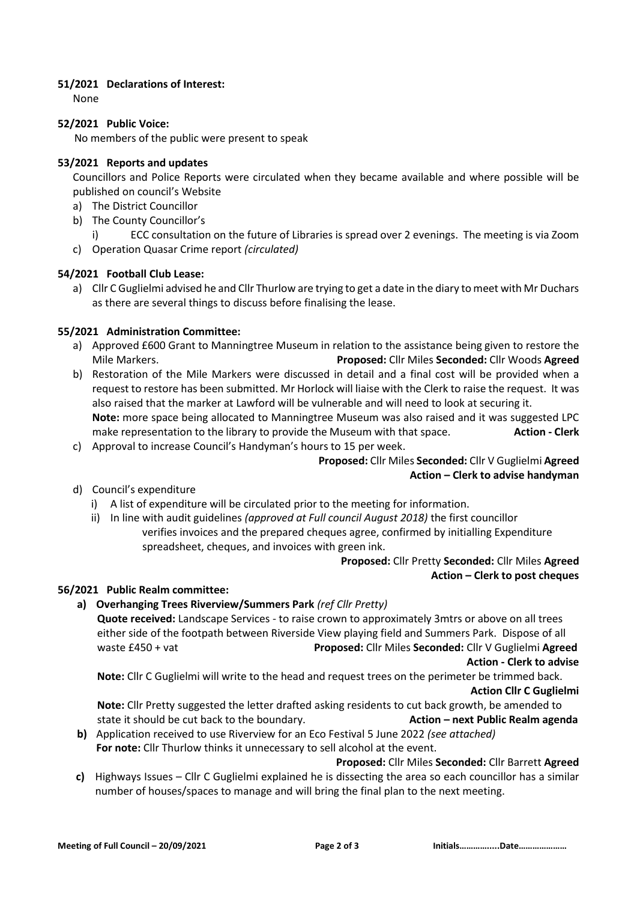## **51/2021 Declarations of Interest:**

None

## **52/2021 Public Voice:**

No members of the public were present to speak

## **53/2021 Reports and updates**

Councillors and Police Reports were circulated when they became available and where possible will be published on council's Website

- a) The District Councillor
- b) The County Councillor's
	- i) ECC consultation on the future of Libraries is spread over 2 evenings. The meeting is via Zoom
- c) Operation Quasar Crime report *(circulated)*

# **54/2021 Football Club Lease:**

a) Cllr C Guglielmi advised he and Cllr Thurlow are trying to get a date in the diary to meet with Mr Duchars as there are several things to discuss before finalising the lease.

# **55/2021 Administration Committee:**

- a) Approved £600 Grant to Manningtree Museum in relation to the assistance being given to restore the Mile Markers. **Proposed:** Cllr Miles **Seconded:** Cllr Woods **Agreed**
- b) Restoration of the Mile Markers were discussed in detail and a final cost will be provided when a request to restore has been submitted. Mr Horlock will liaise with the Clerk to raise the request. It was also raised that the marker at Lawford will be vulnerable and will need to look at securing it. **Note:** more space being allocated to Manningtree Museum was also raised and it was suggested LPC make representation to the library to provide the Museum with that space. **Action - Clerk**
- c) Approval to increase Council's Handyman's hours to 15 per week.

# **Proposed:** Cllr Miles **Seconded:** Cllr V Guglielmi **Agreed Action – Clerk to advise handyman**

- d) Council's expenditure
	- i) A list of expenditure will be circulated prior to the meeting for information.
	- ii) In line with audit guidelines *(approved at Full council August 2018)* the first councillor verifies invoices and the prepared cheques agree, confirmed by initialling Expenditure spreadsheet, cheques, and invoices with green ink.

# **Proposed:** Cllr Pretty **Seconded:** Cllr Miles **Agreed Action – Clerk to post cheques**

# **56/2021 Public Realm committee:**

**a) Overhanging Trees Riverview/Summers Park** *(ref Cllr Pretty)* **Quote received:** Landscape Services - to raise crown to approximately 3mtrs or above on all trees either side of the footpath between Riverside View playing field and Summers Park. Dispose of all waste £450 + vat **Proposed:** Cllr Miles **Seconded:** Cllr V Guglielmi **Agreed**

**Action - Clerk to advise**

**Note:** Cllr C Guglielmi will write to the head and request trees on the perimeter be trimmed back. **Action Cllr C Guglielmi**

**Note:** Cllr Pretty suggested the letter drafted asking residents to cut back growth, be amended to state it should be cut back to the boundary. **Action – next Public Realm agenda**

**b)** Application received to use Riverview for an Eco Festival 5 June 2022 *(see attached)* **For note:** Cllr Thurlow thinks it unnecessary to sell alcohol at the event.

**Proposed:** Cllr Miles **Seconded:** Cllr Barrett **Agreed**

**c)** Highways Issues – Cllr C Guglielmi explained he is dissecting the area so each councillor has a similar number of houses/spaces to manage and will bring the final plan to the next meeting.